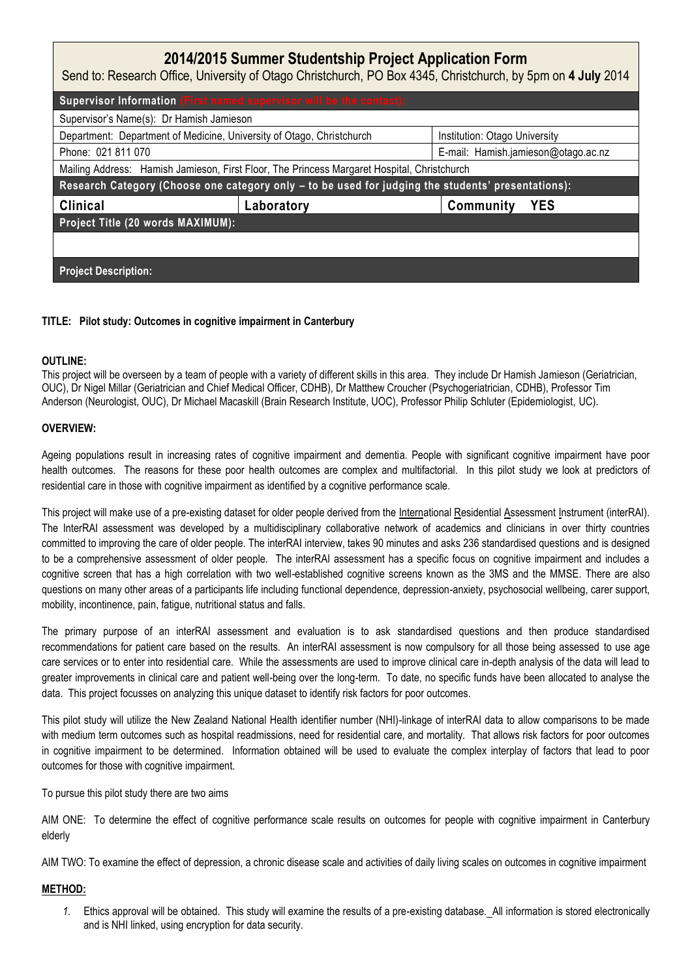# **2014/2015 Summer Studentship Project Application Form**

Send to: Research Office, University of Otago Christchurch, PO Box 4345, Christchurch, by 5pm on **4 July** 2014

| Supervisor Information (First named supervisor will be the contact):                               |            |                                     |
|----------------------------------------------------------------------------------------------------|------------|-------------------------------------|
| Supervisor's Name(s): Dr Hamish Jamieson                                                           |            |                                     |
| Department: Department of Medicine, University of Otago, Christchurch                              |            | Institution: Otago University       |
| Phone: 021 811 070                                                                                 |            | E-mail: Hamish.jamieson@otago.ac.nz |
| Mailing Address: Hamish Jamieson, First Floor, The Princess Margaret Hospital, Christchurch        |            |                                     |
| Research Category (Choose one category only - to be used for judging the students' presentations): |            |                                     |
| <b>Clinical</b>                                                                                    | Laboratory | <b>YES</b><br>Community             |
| Project Title (20 words MAXIMUM):                                                                  |            |                                     |
|                                                                                                    |            |                                     |
| <b>Project Description:</b>                                                                        |            |                                     |

## **TITLE: Pilot study: Outcomes in cognitive impairment in Canterbury**

## **OUTLINE:**

This project will be overseen by a team of people with a variety of different skills in this area. They include Dr Hamish Jamieson (Geriatrician, OUC), Dr Nigel Millar (Geriatrician and Chief Medical Officer, CDHB), Dr Matthew Croucher (Psychogeriatrician, CDHB), Professor Tim Anderson (Neurologist, OUC), Dr Michael Macaskill (Brain Research Institute, UOC), Professor Philip Schluter (Epidemiologist, UC).

## **OVERVIEW:**

Ageing populations result in increasing rates of cognitive impairment and dementia. People with significant cognitive impairment have poor health outcomes. The reasons for these poor health outcomes are complex and multifactorial. In this pilot study we look at predictors of residential care in those with cognitive impairment as identified by a cognitive performance scale.

This project will make use of a pre-existing dataset for older people derived from the International Residential Assessment Instrument (interRAI). The InterRAI assessment was developed by a multidisciplinary collaborative network of academics and clinicians in over thirty countries committed to improving the care of older people. The interRAI interview, takes 90 minutes and asks 236 standardised questions and is designed to be a comprehensive assessment of older people. The interRAI assessment has a specific focus on cognitive impairment and includes a cognitive screen that has a high correlation with two well-established cognitive screens known as the 3MS and the MMSE. There are also questions on many other areas of a participants life including functional dependence, depression-anxiety, psychosocial wellbeing, carer support, mobility, incontinence, pain, fatigue, nutritional status and falls.

The primary purpose of an interRAI assessment and evaluation is to ask standardised questions and then produce standardised recommendations for patient care based on the results. An interRAI assessment is now compulsory for all those being assessed to use age care services or to enter into residential care. While the assessments are used to improve clinical care in-depth analysis of the data will lead to greater improvements in clinical care and patient well-being over the long-term. To date, no specific funds have been allocated to analyse the data. This project focusses on analyzing this unique dataset to identify risk factors for poor outcomes.

This pilot study will utilize the New Zealand National Health identifier number (NHI)-linkage of interRAI data to allow comparisons to be made with medium term outcomes such as hospital readmissions, need for residential care, and mortality. That allows risk factors for poor outcomes in cognitive impairment to be determined. Information obtained will be used to evaluate the complex interplay of factors that lead to poor outcomes for those with cognitive impairment.

To pursue this pilot study there are two aims

AIM ONE: To determine the effect of cognitive performance scale results on outcomes for people with cognitive impairment in Canterbury elderly

AIM TWO: To examine the effect of depression, a chronic disease scale and activities of daily living scales on outcomes in cognitive impairment

## **METHOD:**

*1.* Ethics approval will be obtained. This study will examine the results of a pre-existing database.All information is stored electronically and is NHI linked, using encryption for data security.